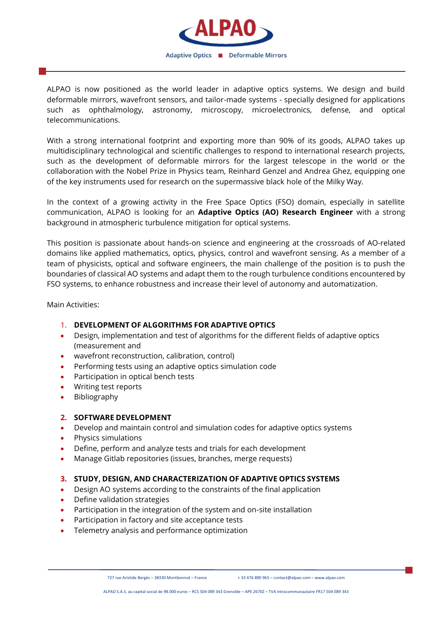

ALPAO is now positioned as the world leader in adaptive optics systems. We design and build deformable mirrors, wavefront sensors, and tailor-made systems - specially designed for applications such as ophthalmology, astronomy, microscopy, microelectronics, defense, and optical telecommunications.

With a strong international footprint and exporting more than 90% of its goods, ALPAO takes up multidisciplinary technological and scientific challenges to respond to international research projects, such as the development of deformable mirrors for the largest telescope in the world or the collaboration with the Nobel Prize in Physics team, Reinhard Genzel and Andrea Ghez, equipping one of the key instruments used for research on the supermassive black hole of the Milky Way.

In the context of a growing activity in the Free Space Optics (FSO) domain, especially in satellite communication, ALPAO is looking for an **Adaptive Optics (AO) Research Engineer** with a strong background in atmospheric turbulence mitigation for optical systems.

This position is passionate about hands-on science and engineering at the crossroads of AO-related domains like applied mathematics, optics, physics, control and wavefront sensing. As a member of a team of physicists, optical and software engineers, the main challenge of the position is to push the boundaries of classical AO systems and adapt them to the rough turbulence conditions encountered by FSO systems, to enhance robustness and increase their level of autonomy and automatization.

Main Activities:

## 1. **DEVELOPMENT OF ALGORITHMS FOR ADAPTIVE OPTICS**

- Design, implementation and test of algorithms for the different fields of adaptive optics (measurement and
- wavefront reconstruction, calibration, control)
- Performing tests using an adaptive optics simulation code
- Participation in optical bench tests
- Writing test reports
- Bibliography

## **2. SOFTWARE DEVELOPMENT**

- Develop and maintain control and simulation codes for adaptive optics systems
- Physics simulations
- Define, perform and analyze tests and trials for each development
- Manage Gitlab repositories (issues, branches, merge requests)

## **3. STUDY, DESIGN, AND CHARACTERIZATION OF ADAPTIVE OPTICS SYSTEMS**

- Design AO systems according to the constraints of the final application
- Define validation strategies
- Participation in the integration of the system and on-site installation
- Participation in factory and site acceptance tests
- Telemetry analysis and performance optimization